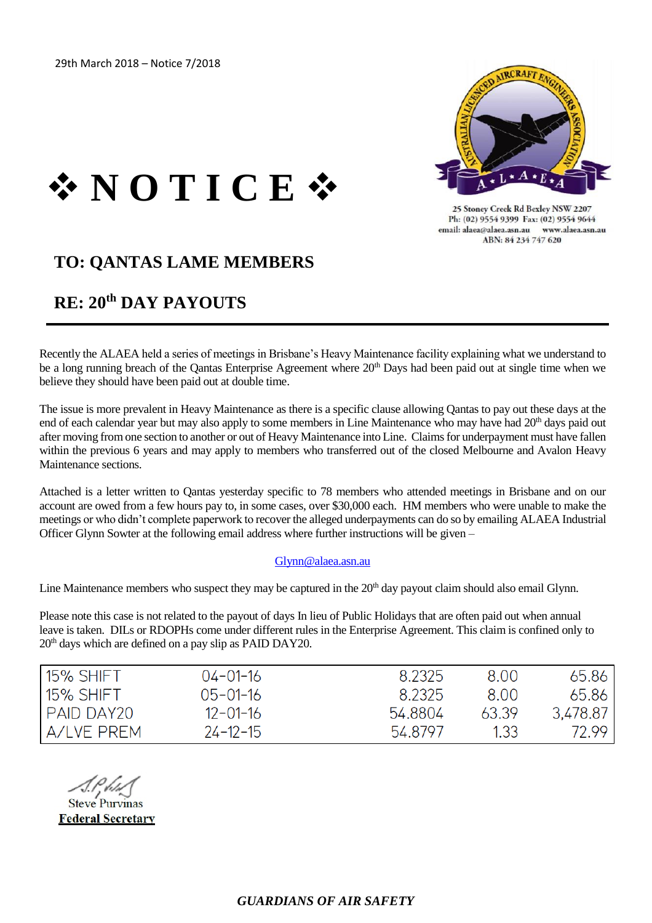

25 Stoney Creek Rd Bexley NSW 2207 Ph: (02) 9554 9399 Fax: (02) 9554 9644 email: alaea@alaea.asn.au www.alaea.asn.au ABN: 84 234 747 620

# ❖ **N O T I C E** ❖

## **TO: QANTAS LAME MEMBERS**

## **RE: 20th DAY PAYOUTS**

Recently the ALAEA held a series of meetings in Brisbane's Heavy Maintenance facility explaining what we understand to be a long running breach of the Qantas Enterprise Agreement where 20<sup>th</sup> Days had been paid out at single time when we believe they should have been paid out at double time.

The issue is more prevalent in Heavy Maintenance as there is a specific clause allowing Qantas to pay out these days at the end of each calendar year but may also apply to some members in Line Maintenance who may have had 20<sup>th</sup> days paid out after moving from one section to another or out of Heavy Maintenance into Line. Claims for underpayment must have fallen within the previous 6 years and may apply to members who transferred out of the closed Melbourne and Avalon Heavy Maintenance sections.

Attached is a letter written to Qantas yesterday specific to 78 members who attended meetings in Brisbane and on our account are owed from a few hours pay to, in some cases, over \$30,000 each. HM members who were unable to make the meetings or who didn't complete paperwork to recover the alleged underpayments can do so by emailing ALAEA Industrial Officer Glynn Sowter at the following email address where further instructions will be given –

#### [Glynn@alaea.asn.au](mailto:Glynn@alaea.asn.au)

Line Maintenance members who suspect they may be captured in the 20<sup>th</sup> day payout claim should also email Glynn.

Please note this case is not related to the payout of days In lieu of Public Holidays that are often paid out when annual leave is taken. DILs or RDOPHs come under different rules in the Enterprise Agreement. This claim is confined only to 20th days which are defined on a pay slip as PAID DAY20.

| ı 15% SHIFT  | $04 - 01 - 16$ | 8.2325  | 8.00  | 65.86    |
|--------------|----------------|---------|-------|----------|
| 15% SHIFT    | $05 - 01 - 16$ | 8.2325  | 800   | 65.86    |
| I PAID DAY20 | $12 - 01 - 16$ | 54.8804 | 63.39 | 3,478.87 |
| A/LVE PREM   | $24 - 12 - 15$ | 54.8797 | 1.33  | 72.99    |

**Steve Purvinas Federal Secretary**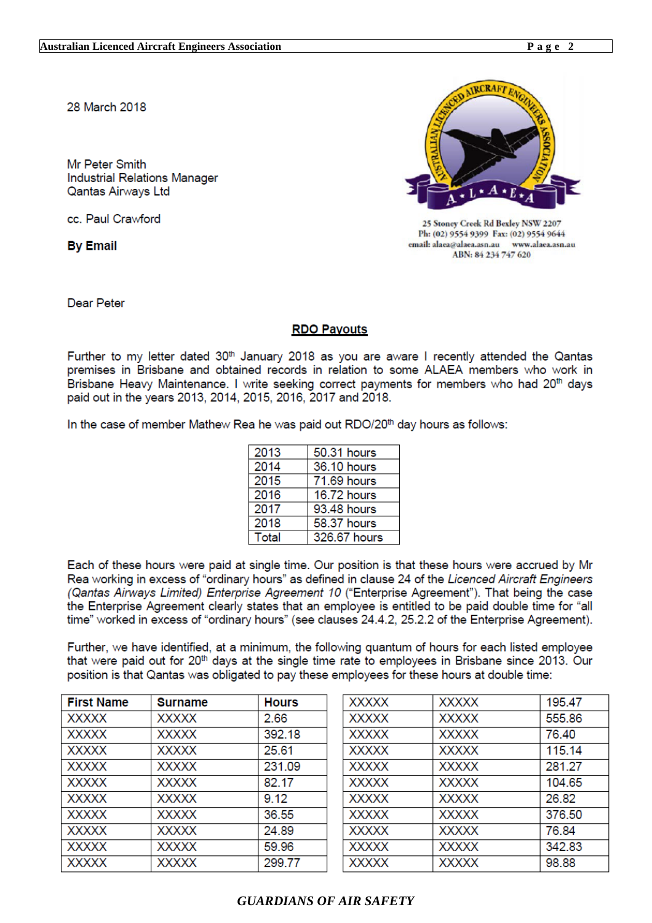28 March 2018

Mr Peter Smith **Industrial Relations Manager Qantas Airways Ltd** 

cc. Paul Crawford

**By Email** 



25 Stoney Creek Rd Bexley NSW 2207 Ph: (02) 9554 9399 Fax: (02) 9554 9644 email: alaea@alaea.asn.au www.alaea.asn.au ABN: 84 234 747 620

Dear Peter

#### **RDO Payouts**

Further to my letter dated 30<sup>th</sup> January 2018 as you are aware I recently attended the Qantas premises in Brisbane and obtained records in relation to some ALAEA members who work in Brisbane Heavy Maintenance. I write seeking correct payments for members who had 20<sup>th</sup> days paid out in the years 2013, 2014, 2015, 2016, 2017 and 2018.

In the case of member Mathew Rea he was paid out RDO/20<sup>th</sup> day hours as follows:

| 2013         | 50.31 hours  |
|--------------|--------------|
| 2014         | 36.10 hours  |
| 2015         | 71.69 hours  |
| 2016         | 16.72 hours  |
| 2017         | 93.48 hours  |
| 2018         | 58.37 hours  |
| <b>Total</b> | 326.67 hours |

Each of these hours were paid at single time. Our position is that these hours were accrued by Mr Rea working in excess of "ordinary hours" as defined in clause 24 of the Licenced Aircraft Engineers (Qantas Airways Limited) Enterprise Agreement 10 ("Enterprise Agreement"). That being the case the Enterprise Agreement clearly states that an employee is entitled to be paid double time for "all time" worked in excess of "ordinary hours" (see clauses 24.4.2, 25.2.2 of the Enterprise Agreement).

Further, we have identified, at a minimum, the following quantum of hours for each listed employee that were paid out for 20<sup>th</sup> days at the single time rate to employees in Brisbane since 2013. Our position is that Qantas was obligated to pay these employees for these hours at double time:

| <b>First Name</b> | <b>Surname</b> | <b>Hours</b> |
|-------------------|----------------|--------------|
| <b>XXXXX</b>      | <b>XXXXX</b>   | 2.66         |
| <b>XXXXX</b>      | <b>XXXXX</b>   | 392.18       |
| <b>XXXXX</b>      | <b>XXXXX</b>   | 25.61        |
| <b>XXXXX</b>      | <b>XXXXX</b>   | 231.09       |
| <b>XXXXX</b>      | <b>XXXXX</b>   | 82.17        |
| <b>XXXXX</b>      | <b>XXXXX</b>   | 9.12         |
| <b>XXXXX</b>      | <b>XXXXX</b>   | 36.55        |
| <b>XXXXX</b>      | <b>XXXXX</b>   | 24.89        |
| <b>XXXXX</b>      | <b>XXXXX</b>   | 59.96        |
| <b>XXXXX</b>      | <b>XXXXX</b>   | 299.77       |

### **GUARDIANS OF AIR SAFETY**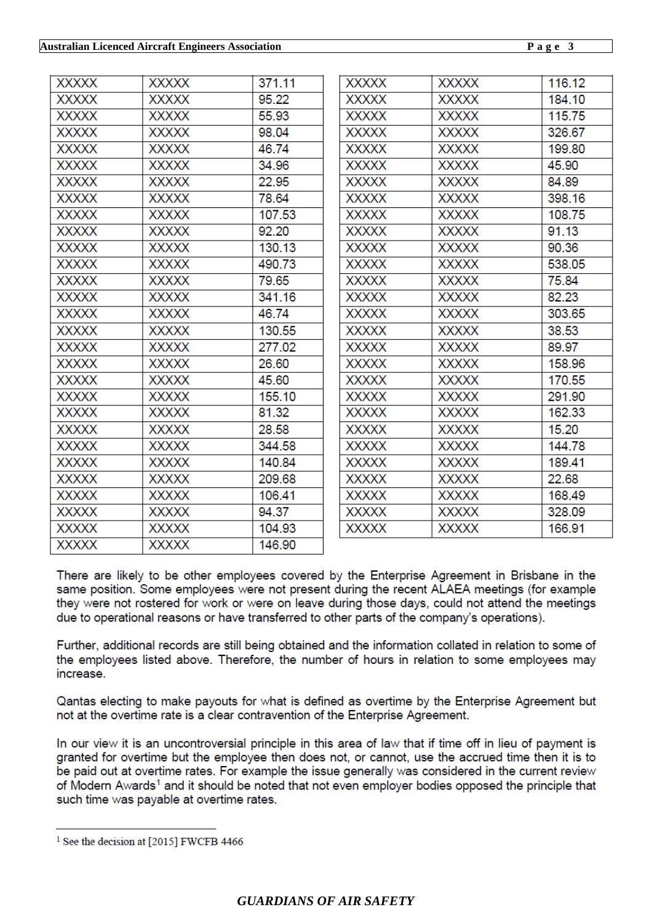| <b>XXXXX</b> | <b>XXXXX</b> | 371.11 | <b>XXXXX</b> | <b>XXXXX</b> | 116.12 |
|--------------|--------------|--------|--------------|--------------|--------|
| <b>XXXXX</b> | <b>XXXXX</b> | 95.22  | <b>XXXXX</b> | <b>XXXXX</b> | 184.10 |
| <b>XXXXX</b> | <b>XXXXX</b> | 55.93  | <b>XXXXX</b> | <b>XXXXX</b> | 115.75 |
| <b>XXXXX</b> | <b>XXXXX</b> | 98.04  | <b>XXXXX</b> | <b>XXXXX</b> | 326.67 |
| <b>XXXXX</b> | <b>XXXXX</b> | 46.74  | <b>XXXXX</b> | <b>XXXXX</b> | 199.80 |
| <b>XXXXX</b> | <b>XXXXX</b> | 34.96  | <b>XXXXX</b> | <b>XXXXX</b> | 45.90  |
| <b>XXXXX</b> | <b>XXXXX</b> | 22.95  | <b>XXXXX</b> | <b>XXXXX</b> | 84.89  |
| <b>XXXXX</b> | <b>XXXXX</b> | 78.64  | <b>XXXXX</b> | <b>XXXXX</b> | 398.16 |
| <b>XXXXX</b> | <b>XXXXX</b> | 107.53 | <b>XXXXX</b> | <b>XXXXX</b> | 108.75 |
| <b>XXXXX</b> | <b>XXXXX</b> | 92.20  | <b>XXXXX</b> | <b>XXXXX</b> | 91.13  |
| <b>XXXXX</b> | <b>XXXXX</b> | 130.13 | <b>XXXXX</b> | <b>XXXXX</b> | 90.36  |
| <b>XXXXX</b> | <b>XXXXX</b> | 490.73 | <b>XXXXX</b> | <b>XXXXX</b> | 538.05 |
| <b>XXXXX</b> | <b>XXXXX</b> | 79.65  | <b>XXXXX</b> | <b>XXXXX</b> | 75.84  |
| <b>XXXXX</b> | <b>XXXXX</b> | 341.16 | <b>XXXXX</b> | <b>XXXXX</b> | 82.23  |
| <b>XXXXX</b> | <b>XXXXX</b> | 46.74  | <b>XXXXX</b> | <b>XXXXX</b> | 303.65 |
| <b>XXXXX</b> | <b>XXXXX</b> | 130.55 | <b>XXXXX</b> | <b>XXXXX</b> | 38.53  |
| <b>XXXXX</b> | <b>XXXXX</b> | 277.02 | <b>XXXXX</b> | <b>XXXXX</b> | 89.97  |
| <b>XXXXX</b> | <b>XXXXX</b> | 26.60  | <b>XXXXX</b> | <b>XXXXX</b> | 158.96 |
| <b>XXXXX</b> | <b>XXXXX</b> | 45.60  | <b>XXXXX</b> | <b>XXXXX</b> | 170.55 |
| <b>XXXXX</b> | <b>XXXXX</b> | 155.10 | <b>XXXXX</b> | <b>XXXXX</b> | 291.90 |
| <b>XXXXX</b> | <b>XXXXX</b> | 81.32  | <b>XXXXX</b> | <b>XXXXX</b> | 162.33 |
| <b>XXXXX</b> | <b>XXXXX</b> | 28.58  | <b>XXXXX</b> | <b>XXXXX</b> | 15.20  |
| <b>XXXXX</b> | <b>XXXXX</b> | 344.58 | <b>XXXXX</b> | <b>XXXXX</b> | 144.78 |
| <b>XXXXX</b> | <b>XXXXX</b> | 140.84 | <b>XXXXX</b> | <b>XXXXX</b> | 189.41 |
| <b>XXXXX</b> | <b>XXXXX</b> | 209.68 | <b>XXXXX</b> | <b>XXXXX</b> | 22.68  |
| <b>XXXXX</b> | <b>XXXXX</b> | 106.41 | <b>XXXXX</b> | <b>XXXXX</b> | 168.49 |
| <b>XXXXX</b> | <b>XXXXX</b> | 94.37  | <b>XXXXX</b> | <b>XXXXX</b> | 328.09 |
| <b>XXXXX</b> | <b>XXXXX</b> | 104.93 | <b>XXXXX</b> | <b>XXXXX</b> | 166.91 |
| <b>XXXXX</b> | <b>XXXXX</b> | 146.90 |              |              |        |
|              |              |        |              |              |        |

There are likely to be other employees covered by the Enterprise Agreement in Brisbane in the same position. Some employees were not present during the recent ALAEA meetings (for example they were not rostered for work or were on leave during those days, could not attend the meetings due to operational reasons or have transferred to other parts of the company's operations).

Further, additional records are still being obtained and the information collated in relation to some of the employees listed above. Therefore, the number of hours in relation to some employees may increase.

Qantas electing to make payouts for what is defined as overtime by the Enterprise Agreement but not at the overtime rate is a clear contravention of the Enterprise Agreement.

In our view it is an uncontroversial principle in this area of law that if time off in lieu of payment is granted for overtime but the employee then does not, or cannot, use the accrued time then it is to be paid out at overtime rates. For example the issue generally was considered in the current review of Modern Awards<sup>1</sup> and it should be noted that not even employer bodies opposed the principle that such time was payable at overtime rates.

<sup>&</sup>lt;sup>1</sup> See the decision at [2015] FWCFB 4466